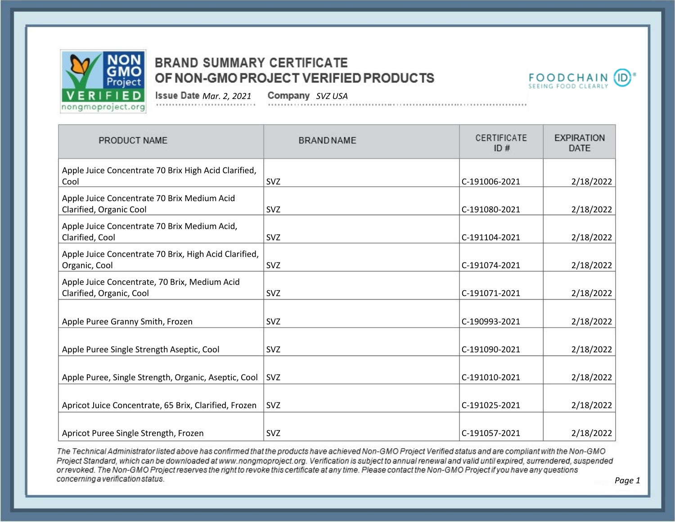



*Page 1*

**Issue Date** *Mar. 2, 2021* **Company** *SVZ USA* 

| PRODUCT NAME                                                              | <b>BRAND NAME</b> | CERTIFICATE<br>ID# | <b>EXPIRATION</b><br><b>DATE</b> |
|---------------------------------------------------------------------------|-------------------|--------------------|----------------------------------|
| Apple Juice Concentrate 70 Brix High Acid Clarified,<br>Cool              | SVZ               | C-191006-2021      | 2/18/2022                        |
| Apple Juice Concentrate 70 Brix Medium Acid<br>Clarified, Organic Cool    | <b>SVZ</b>        | C-191080-2021      | 2/18/2022                        |
| Apple Juice Concentrate 70 Brix Medium Acid,<br>Clarified, Cool           | SVZ               | C-191104-2021      | 2/18/2022                        |
| Apple Juice Concentrate 70 Brix, High Acid Clarified,<br>Organic, Cool    | <b>SVZ</b>        | C-191074-2021      | 2/18/2022                        |
| Apple Juice Concentrate, 70 Brix, Medium Acid<br>Clarified, Organic, Cool | SVZ               | C-191071-2021      | 2/18/2022                        |
| Apple Puree Granny Smith, Frozen                                          | <b>SVZ</b>        | C-190993-2021      | 2/18/2022                        |
| Apple Puree Single Strength Aseptic, Cool                                 | <b>SVZ</b>        | C-191090-2021      | 2/18/2022                        |
| Apple Puree, Single Strength, Organic, Aseptic, Cool                      | <b>SVZ</b>        | C-191010-2021      | 2/18/2022                        |
| Apricot Juice Concentrate, 65 Brix, Clarified, Frozen                     | <b>SVZ</b>        | C-191025-2021      | 2/18/2022                        |
| Apricot Puree Single Strength, Frozen                                     | SVZ               | C-191057-2021      | 2/18/2022                        |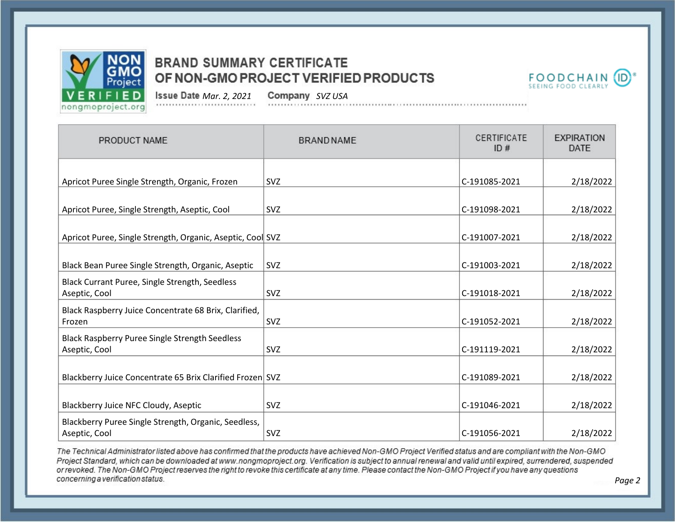



*Mar. 2, 2021 SVZ USA*

|  | *********************** |  |
|--|-------------------------|--|

| PRODUCT NAME                                                           | <b>BRAND NAME</b> | CERTIFICATE<br>ID# | <b>EXPIRATION</b><br><b>DATE</b> |
|------------------------------------------------------------------------|-------------------|--------------------|----------------------------------|
|                                                                        |                   |                    |                                  |
| Apricot Puree Single Strength, Organic, Frozen                         | <b>SVZ</b>        | C-191085-2021      | 2/18/2022                        |
| Apricot Puree, Single Strength, Aseptic, Cool                          | <b>SVZ</b>        | C-191098-2021      | 2/18/2022                        |
| Apricot Puree, Single Strength, Organic, Aseptic, Cool SVZ             |                   | C-191007-2021      | 2/18/2022                        |
| Black Bean Puree Single Strength, Organic, Aseptic                     | <b>SVZ</b>        | C-191003-2021      | 2/18/2022                        |
| Black Currant Puree, Single Strength, Seedless<br>Aseptic, Cool        | <b>SVZ</b>        | C-191018-2021      | 2/18/2022                        |
| Black Raspberry Juice Concentrate 68 Brix, Clarified,<br>Frozen        | <b>SVZ</b>        | C-191052-2021      | 2/18/2022                        |
| <b>Black Raspberry Puree Single Strength Seedless</b><br>Aseptic, Cool | SVZ               | C-191119-2021      | 2/18/2022                        |
| Blackberry Juice Concentrate 65 Brix Clarified Frozen SVZ              |                   | C-191089-2021      | 2/18/2022                        |
| Blackberry Juice NFC Cloudy, Aseptic                                   | SVZ               | C-191046-2021      | 2/18/2022                        |
| Blackberry Puree Single Strength, Organic, Seedless,<br>Aseptic, Cool  | SVZ               | C-191056-2021      | 2/18/2022                        |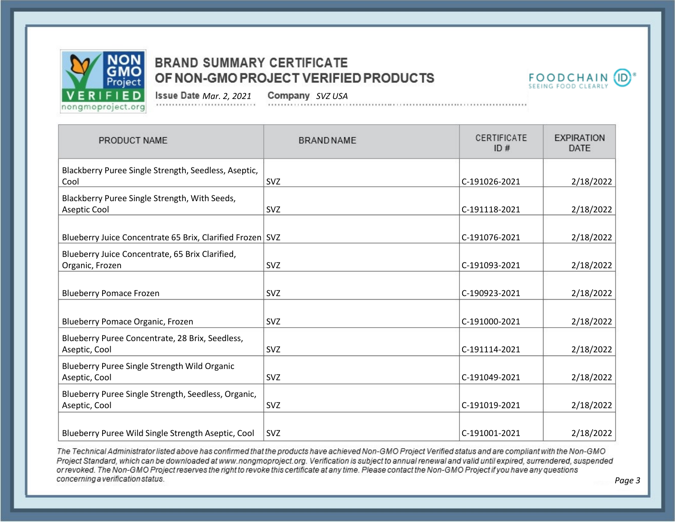



*Page 3*

*Mar. 2, 2021 SVZ USA*

| PRODUCT NAME                                                         | <b>BRAND NAME</b> | CERTIFICATE<br>ID# | <b>EXPIRATION</b><br><b>DATE</b> |
|----------------------------------------------------------------------|-------------------|--------------------|----------------------------------|
| Blackberry Puree Single Strength, Seedless, Aseptic,<br>Cool         | SVZ               | C-191026-2021      | 2/18/2022                        |
| Blackberry Puree Single Strength, With Seeds,<br><b>Aseptic Cool</b> | SVZ               | C-191118-2021      | 2/18/2022                        |
| Blueberry Juice Concentrate 65 Brix, Clarified Frozen SVZ            |                   | C-191076-2021      | 2/18/2022                        |
| Blueberry Juice Concentrate, 65 Brix Clarified,<br>Organic, Frozen   | SVZ               | C-191093-2021      | 2/18/2022                        |
| <b>Blueberry Pomace Frozen</b>                                       | <b>SVZ</b>        | C-190923-2021      | 2/18/2022                        |
| Blueberry Pomace Organic, Frozen                                     | <b>SVZ</b>        | C-191000-2021      | 2/18/2022                        |
| Blueberry Puree Concentrate, 28 Brix, Seedless,<br>Aseptic, Cool     | SVZ               | C-191114-2021      | 2/18/2022                        |
| Blueberry Puree Single Strength Wild Organic<br>Aseptic, Cool        | <b>SVZ</b>        | C-191049-2021      | 2/18/2022                        |
| Blueberry Puree Single Strength, Seedless, Organic,<br>Aseptic, Cool | SVZ               | C-191019-2021      | 2/18/2022                        |
| Blueberry Puree Wild Single Strength Aseptic, Cool                   | SVZ               | C-191001-2021      | 2/18/2022                        |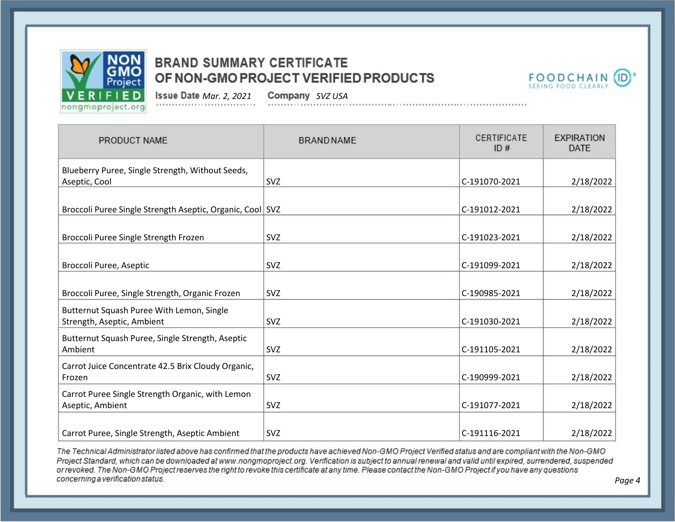



*Page 4*

*Mar. 2, 2021 SVZ USA*

| PRODUCT NAME                                                            | <b>BRAND NAME</b> | CERTIFICATE<br>ID# | <b>EXPIRATION</b><br>DATE |
|-------------------------------------------------------------------------|-------------------|--------------------|---------------------------|
| Blueberry Puree, Single Strength, Without Seeds,                        |                   |                    |                           |
| Aseptic, Cool                                                           | <b>SVZ</b>        | C-191070-2021      | 2/18/2022                 |
| Broccoli Puree Single Strength Aseptic, Organic, Cool SVZ               |                   | C-191012-2021      | 2/18/2022                 |
| Broccoli Puree Single Strength Frozen                                   | <b>SVZ</b>        | C-191023-2021      | 2/18/2022                 |
| Broccoli Puree, Aseptic                                                 | SVZ               | C-191099-2021      | 2/18/2022                 |
| Broccoli Puree, Single Strength, Organic Frozen                         | <b>SVZ</b>        | C-190985-2021      | 2/18/2022                 |
| Butternut Squash Puree With Lemon, Single<br>Strength, Aseptic, Ambient | <b>SVZ</b>        | C-191030-2021      | 2/18/2022                 |
| Butternut Squash Puree, Single Strength, Aseptic<br>Ambient             | <b>SVZ</b>        | C-191105-2021      | 2/18/2022                 |
| Carrot Juice Concentrate 42.5 Brix Cloudy Organic,<br>Frozen            | SVZ               | C-190999-2021      | 2/18/2022                 |
| Carrot Puree Single Strength Organic, with Lemon<br>Aseptic, Ambient    | <b>SVZ</b>        | C-191077-2021      | 2/18/2022                 |
| Carrot Puree, Single Strength, Aseptic Ambient                          | <b>SVZ</b>        | C-191116-2021      | 2/18/2022                 |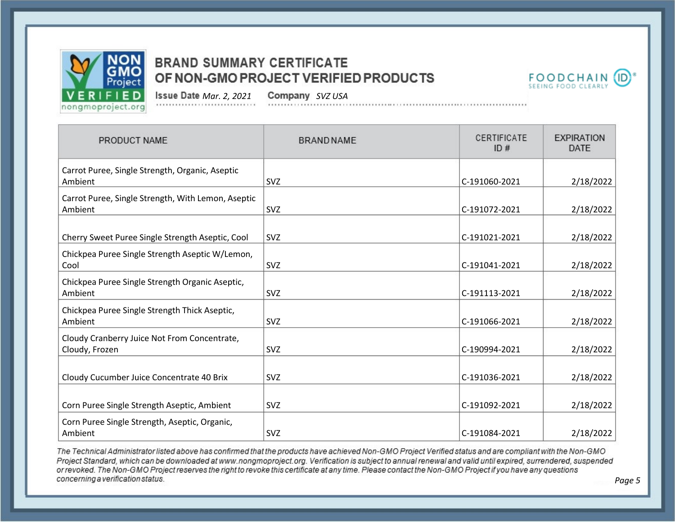



**Issue Date** *Mar. 2, 2021* **Company** *SVZ USA* 

| PRODUCT NAME                                                   | <b>BRAND NAME</b> | CERTIFICATE<br>ID# | <b>EXPIRATION</b><br><b>DATE</b> |
|----------------------------------------------------------------|-------------------|--------------------|----------------------------------|
| Carrot Puree, Single Strength, Organic, Aseptic<br>Ambient     | SVZ               | C-191060-2021      | 2/18/2022                        |
| Carrot Puree, Single Strength, With Lemon, Aseptic<br>Ambient  | SVZ               | C-191072-2021      | 2/18/2022                        |
| Cherry Sweet Puree Single Strength Aseptic, Cool               | <b>SVZ</b>        | C-191021-2021      | 2/18/2022                        |
| Chickpea Puree Single Strength Aseptic W/Lemon,<br>Cool        | SVZ               | C-191041-2021      | 2/18/2022                        |
| Chickpea Puree Single Strength Organic Aseptic,<br>Ambient     | SVZ               | C-191113-2021      | 2/18/2022                        |
| Chickpea Puree Single Strength Thick Aseptic,<br>Ambient       | <b>SVZ</b>        | C-191066-2021      | 2/18/2022                        |
| Cloudy Cranberry Juice Not From Concentrate,<br>Cloudy, Frozen | SVZ               | C-190994-2021      | 2/18/2022                        |
| Cloudy Cucumber Juice Concentrate 40 Brix                      | SVZ.              | C-191036-2021      | 2/18/2022                        |
| Corn Puree Single Strength Aseptic, Ambient                    | <b>SVZ</b>        | C-191092-2021      | 2/18/2022                        |
| Corn Puree Single Strength, Aseptic, Organic,<br>Ambient       | SVZ               | C-191084-2021      | 2/18/2022                        |

The Technical Administrator listed above has confirmed that the products have achieved Non-GMO Project Verified status and are compliant with the Non-GMO Project Standard, which can be downloaded at www.nongmoproject.org. Verification is subject to annual renewal and valid until expired, surrendered, suspended or revoked. The Non-GMO Project reserves the right to revoke this certificate at any time. Please contact the Non-GMO Project if you have any questions concerning a verification status.

*Page 5*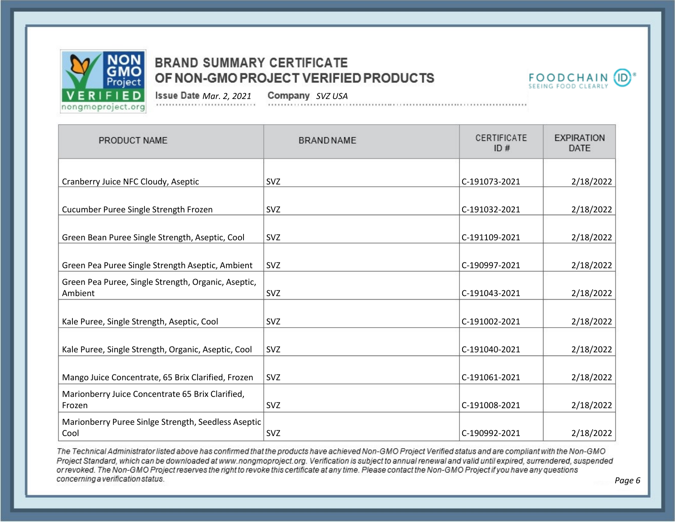



*Page 6*

**Issue Date** *Mar. 2, 2021* **Company** *SVZ USA* 

| PRODUCT NAME                                                   | <b>BRAND NAME</b> | CERTIFICATE<br>ID# | <b>EXPIRATION</b><br><b>DATE</b> |
|----------------------------------------------------------------|-------------------|--------------------|----------------------------------|
|                                                                |                   |                    |                                  |
| Cranberry Juice NFC Cloudy, Aseptic                            | <b>SVZ</b>        | C-191073-2021      | 2/18/2022                        |
| Cucumber Puree Single Strength Frozen                          | SVZ               | C-191032-2021      | 2/18/2022                        |
| Green Bean Puree Single Strength, Aseptic, Cool                | SVZ               | C-191109-2021      | 2/18/2022                        |
| Green Pea Puree Single Strength Aseptic, Ambient               | <b>SVZ</b>        | C-190997-2021      | 2/18/2022                        |
| Green Pea Puree, Single Strength, Organic, Aseptic,<br>Ambient | SVZ               | C-191043-2021      | 2/18/2022                        |
| Kale Puree, Single Strength, Aseptic, Cool                     | <b>SVZ</b>        | C-191002-2021      | 2/18/2022                        |
| Kale Puree, Single Strength, Organic, Aseptic, Cool            | <b>SVZ</b>        | C-191040-2021      | 2/18/2022                        |
| Mango Juice Concentrate, 65 Brix Clarified, Frozen             | SVZ               | C-191061-2021      | 2/18/2022                        |
| Marionberry Juice Concentrate 65 Brix Clarified,<br>Frozen     | <b>SVZ</b>        | C-191008-2021      | 2/18/2022                        |
| Marionberry Puree Sinlge Strength, Seedless Aseptic<br>Cool    | SVZ               | C-190992-2021      | 2/18/2022                        |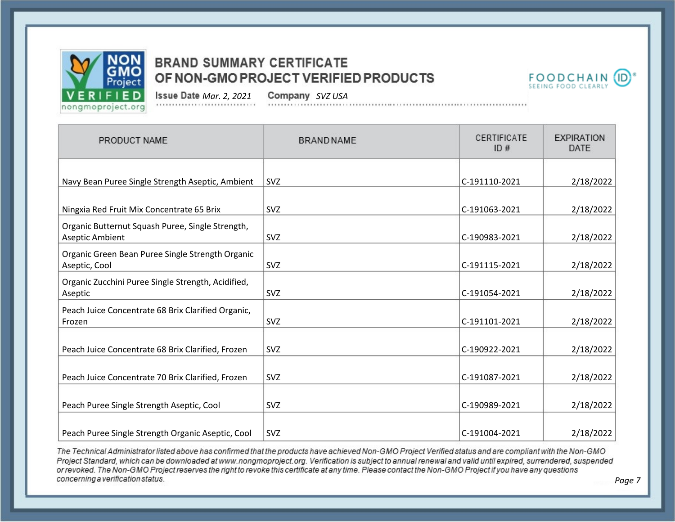



**Issue Date** *Mar. 2, 2021* **Company** *SVZ USA* 

| PRODUCT NAME                                                        | <b>BRAND NAME</b> | CERTIFICATE<br>ID# | <b>EXPIRATION</b><br><b>DATE</b> |
|---------------------------------------------------------------------|-------------------|--------------------|----------------------------------|
| Navy Bean Puree Single Strength Aseptic, Ambient                    | SVZ               | C-191110-2021      | 2/18/2022                        |
| Ningxia Red Fruit Mix Concentrate 65 Brix                           | SVZ               | C-191063-2021      | 2/18/2022                        |
| Organic Butternut Squash Puree, Single Strength,<br>Aseptic Ambient | <b>SVZ</b>        | C-190983-2021      | 2/18/2022                        |
| Organic Green Bean Puree Single Strength Organic<br>Aseptic, Cool   | <b>SVZ</b>        | C-191115-2021      | 2/18/2022                        |
| Organic Zucchini Puree Single Strength, Acidified,<br>Aseptic       | <b>SVZ</b>        | C-191054-2021      | 2/18/2022                        |
| Peach Juice Concentrate 68 Brix Clarified Organic,<br>Frozen        | <b>SVZ</b>        | C-191101-2021      | 2/18/2022                        |
| Peach Juice Concentrate 68 Brix Clarified, Frozen                   | <b>SVZ</b>        | C-190922-2021      | 2/18/2022                        |
| Peach Juice Concentrate 70 Brix Clarified, Frozen                   | <b>SVZ</b>        | C-191087-2021      | 2/18/2022                        |
| Peach Puree Single Strength Aseptic, Cool                           | <b>SVZ</b>        | C-190989-2021      | 2/18/2022                        |
| Peach Puree Single Strength Organic Aseptic, Cool                   | SVZ               | C-191004-2021      | 2/18/2022                        |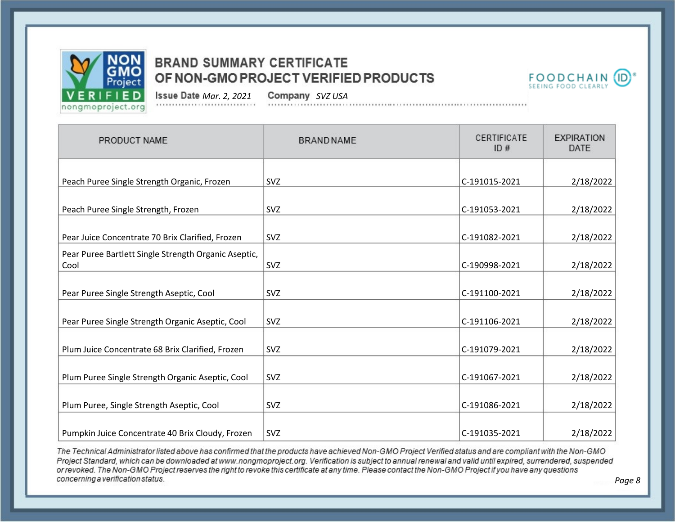



*Page 8*

**Issue Date** *Mar. 2, 2021* **Company** *SVZ USA* 

| PRODUCT NAME                                                 | <b>BRAND NAME</b> | CERTIFICATE<br>ID# | <b>EXPIRATION</b><br><b>DATE</b> |
|--------------------------------------------------------------|-------------------|--------------------|----------------------------------|
|                                                              | <b>SVZ</b>        | C-191015-2021      |                                  |
| Peach Puree Single Strength Organic, Frozen                  |                   |                    | 2/18/2022                        |
| Peach Puree Single Strength, Frozen                          | <b>SVZ</b>        | C-191053-2021      | 2/18/2022                        |
| Pear Juice Concentrate 70 Brix Clarified, Frozen             | SVZ               | C-191082-2021      | 2/18/2022                        |
| Pear Puree Bartlett Single Strength Organic Aseptic,<br>Cool | <b>SVZ</b>        | C-190998-2021      | 2/18/2022                        |
|                                                              |                   |                    |                                  |
| Pear Puree Single Strength Aseptic, Cool                     | SVZ               | C-191100-2021      | 2/18/2022                        |
| Pear Puree Single Strength Organic Aseptic, Cool             | SVZ               | C-191106-2021      | 2/18/2022                        |
| Plum Juice Concentrate 68 Brix Clarified, Frozen             | SVZ               | C-191079-2021      | 2/18/2022                        |
| Plum Puree Single Strength Organic Aseptic, Cool             | <b>SVZ</b>        | C-191067-2021      | 2/18/2022                        |
| Plum Puree, Single Strength Aseptic, Cool                    | SVZ               | C-191086-2021      | 2/18/2022                        |
| Pumpkin Juice Concentrate 40 Brix Cloudy, Frozen             | SVZ               | C-191035-2021      | 2/18/2022                        |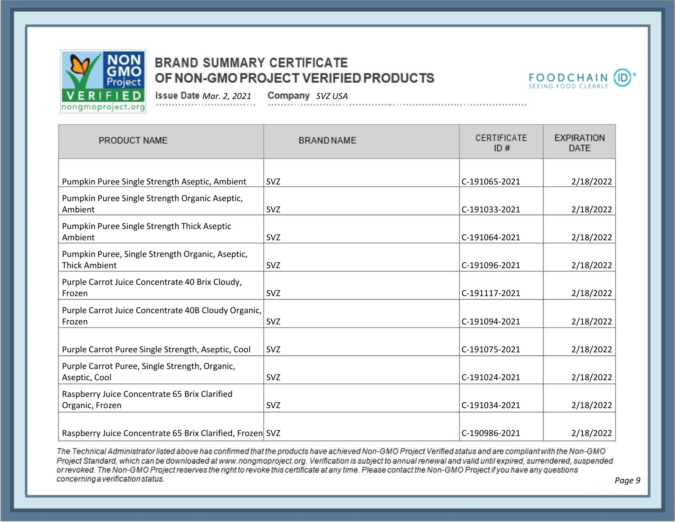



*Page 9*

**Issue Date** *Mar. 2, 2021* **Company** *SVZ USA* 

| PRODUCT NAME                                                             | <b>BRAND NAME</b> | CERTIFICATE<br>ID# | <b>EXPIRATION</b><br><b>DATE</b> |
|--------------------------------------------------------------------------|-------------------|--------------------|----------------------------------|
|                                                                          |                   |                    |                                  |
| Pumpkin Puree Single Strength Aseptic, Ambient                           | <b>SVZ</b>        | C-191065-2021      | 2/18/2022                        |
| Pumpkin Puree Single Strength Organic Aseptic,<br>Ambient                | SVZ               | C-191033-2021      | 2/18/2022                        |
| Pumpkin Puree Single Strength Thick Aseptic<br>Ambient                   | SVZ               | C-191064-2021      | 2/18/2022                        |
| Pumpkin Puree, Single Strength Organic, Aseptic,<br><b>Thick Ambient</b> | <b>SVZ</b>        | C-191096-2021      | 2/18/2022                        |
| Purple Carrot Juice Concentrate 40 Brix Cloudy,<br>Frozen                | <b>SVZ</b>        | C-191117-2021      | 2/18/2022                        |
| Purple Carrot Juice Concentrate 40B Cloudy Organic,<br>Frozen            | SVZ               | C-191094-2021      | 2/18/2022                        |
| Purple Carrot Puree Single Strength, Aseptic, Cool                       | SVZ               | C-191075-2021      | 2/18/2022                        |
| Purple Carrot Puree, Single Strength, Organic,<br>Aseptic, Cool          | SVZ               | C-191024-2021      | 2/18/2022                        |
| Raspberry Juice Concentrate 65 Brix Clarified<br>Organic, Frozen         | SVZ               | C-191034-2021      | 2/18/2022                        |
| Raspberry Juice Concentrate 65 Brix Clarified, Frozen SVZ                |                   | C-190986-2021      | 2/18/2022                        |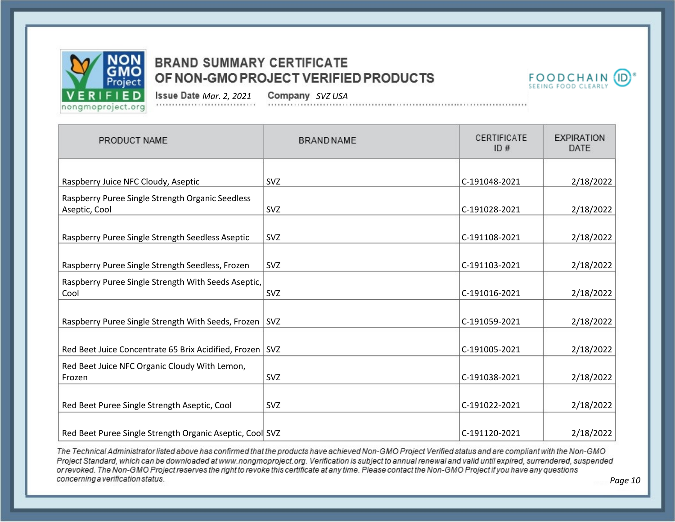



*Mar. 2, 2021 SVZ USA*

| PRODUCT NAME                                               | <b>BRAND NAME</b> | CERTIFICATE<br>ID# | <b>EXPIRATION</b><br><b>DATE</b> |
|------------------------------------------------------------|-------------------|--------------------|----------------------------------|
|                                                            |                   |                    |                                  |
| Raspberry Juice NFC Cloudy, Aseptic                        | <b>SVZ</b>        | C-191048-2021      | 2/18/2022                        |
| Raspberry Puree Single Strength Organic Seedless           |                   |                    |                                  |
| Aseptic, Cool                                              | <b>SVZ</b>        | C-191028-2021      | 2/18/2022                        |
|                                                            |                   |                    |                                  |
| Raspberry Puree Single Strength Seedless Aseptic           | SVZ               | C-191108-2021      | 2/18/2022                        |
|                                                            |                   |                    |                                  |
| Raspberry Puree Single Strength Seedless, Frozen           | <b>SVZ</b>        | C-191103-2021      | 2/18/2022                        |
| Raspberry Puree Single Strength With Seeds Aseptic,        |                   |                    |                                  |
| Cool                                                       | <b>SVZ</b>        | C-191016-2021      | 2/18/2022                        |
|                                                            |                   |                    |                                  |
| Raspberry Puree Single Strength With Seeds, Frozen SVZ     |                   | C-191059-2021      | 2/18/2022                        |
|                                                            |                   |                    |                                  |
| Red Beet Juice Concentrate 65 Brix Acidified, Frozen   SVZ |                   | C-191005-2021      | 2/18/2022                        |
| Red Beet Juice NFC Organic Cloudy With Lemon,              |                   |                    |                                  |
| Frozen                                                     | SVZ               | C-191038-2021      | 2/18/2022                        |
|                                                            |                   |                    |                                  |
| Red Beet Puree Single Strength Aseptic, Cool               | SVZ               | C-191022-2021      | 2/18/2022                        |
|                                                            |                   |                    |                                  |
| Red Beet Puree Single Strength Organic Aseptic, Cool SVZ   |                   | C-191120-2021      | 2/18/2022                        |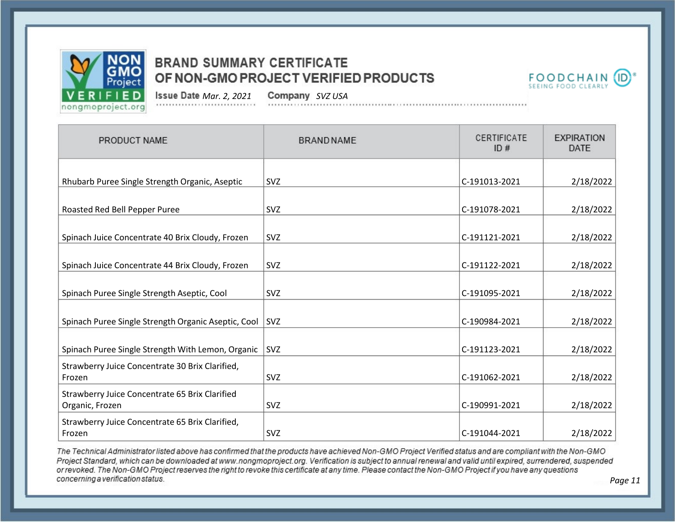



**Issue Date** *Mar. 2, 2021* **Company** *SVZ USA* 

| PRODUCT NAME                                                      | <b>BRAND NAME</b> | CERTIFICATE<br>ID# | <b>EXPIRATION</b><br><b>DATE</b> |
|-------------------------------------------------------------------|-------------------|--------------------|----------------------------------|
| Rhubarb Puree Single Strength Organic, Aseptic                    | SVZ               | C-191013-2021      | 2/18/2022                        |
| Roasted Red Bell Pepper Puree                                     | SVZ               | C-191078-2021      | 2/18/2022                        |
| Spinach Juice Concentrate 40 Brix Cloudy, Frozen                  | SVZ               | C-191121-2021      | 2/18/2022                        |
| Spinach Juice Concentrate 44 Brix Cloudy, Frozen                  | <b>SVZ</b>        | C-191122-2021      | 2/18/2022                        |
| Spinach Puree Single Strength Aseptic, Cool                       | <b>SVZ</b>        | C-191095-2021      | 2/18/2022                        |
| Spinach Puree Single Strength Organic Aseptic, Cool               | <b>SVZ</b>        | C-190984-2021      | 2/18/2022                        |
| Spinach Puree Single Strength With Lemon, Organic                 | <b>SVZ</b>        | C-191123-2021      | 2/18/2022                        |
| Strawberry Juice Concentrate 30 Brix Clarified,<br>Frozen         | SVZ               | C-191062-2021      | 2/18/2022                        |
| Strawberry Juice Concentrate 65 Brix Clarified<br>Organic, Frozen | SVZ               | C-190991-2021      | 2/18/2022                        |
| Strawberry Juice Concentrate 65 Brix Clarified,<br>Frozen         | <b>SVZ</b>        | C-191044-2021      | 2/18/2022                        |

The Technical Administrator listed above has confirmed that the products have achieved Non-GMO Project Verified status and are compliant with the Non-GMO Project Standard, which can be downloaded at www.nongmoproject.org. Verification is subject to annual renewal and valid until expired, surrendered, suspended or revoked. The Non-GMO Project reserves the right to revoke this certificate at any time. Please contact the Non-GMO Project if you have any questions concerning a verification status.

*Page 11*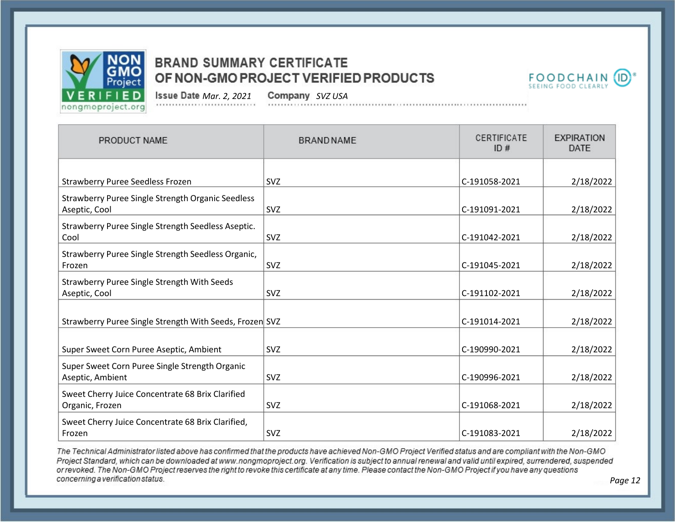



.....................................

**Issue Date** *Mar. 2, 2021* **Company** *SVZ USA* 

| PRODUCT NAME                                                        | <b>BRAND NAME</b> | CERTIFICATE<br>ID# | <b>EXPIRATION</b><br><b>DATE</b> |
|---------------------------------------------------------------------|-------------------|--------------------|----------------------------------|
|                                                                     |                   |                    |                                  |
| <b>Strawberry Puree Seedless Frozen</b>                             | <b>SVZ</b>        | C-191058-2021      | 2/18/2022                        |
| <b>Strawberry Puree Single Strength Organic Seedless</b>            |                   |                    |                                  |
| Aseptic, Cool                                                       | <b>SVZ</b>        | C-191091-2021      | 2/18/2022                        |
| Strawberry Puree Single Strength Seedless Aseptic.<br>Cool          | <b>SVZ</b>        | C-191042-2021      | 2/18/2022                        |
| Strawberry Puree Single Strength Seedless Organic,<br>Frozen        | SVZ               | C-191045-2021      | 2/18/2022                        |
| Strawberry Puree Single Strength With Seeds<br>Aseptic, Cool        | <b>SVZ</b>        | C-191102-2021      | 2/18/2022                        |
| Strawberry Puree Single Strength With Seeds, Frozen SVZ             |                   | C-191014-2021      | 2/18/2022                        |
| Super Sweet Corn Puree Aseptic, Ambient                             | <b>SVZ</b>        | C-190990-2021      | 2/18/2022                        |
| Super Sweet Corn Puree Single Strength Organic<br>Aseptic, Ambient  | <b>SVZ</b>        | C-190996-2021      | 2/18/2022                        |
| Sweet Cherry Juice Concentrate 68 Brix Clarified<br>Organic, Frozen | <b>SVZ</b>        | C-191068-2021      | 2/18/2022                        |
| Sweet Cherry Juice Concentrate 68 Brix Clarified,<br>Frozen         | SVZ               | C-191083-2021      | 2/18/2022                        |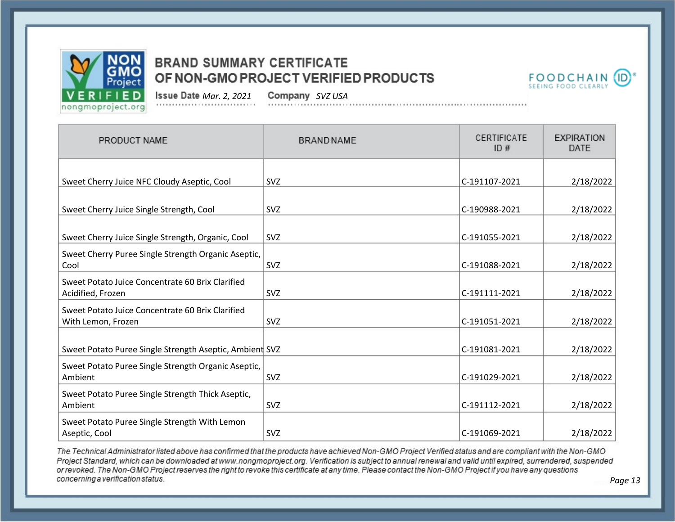



**Issue Date** *Mar. 2, 2021* **Company** *SVZ USA* 

| PRODUCT NAME                                                           | <b>BRAND NAME</b> | CERTIFICATE<br>ID# | <b>EXPIRATION</b><br><b>DATE</b> |
|------------------------------------------------------------------------|-------------------|--------------------|----------------------------------|
| Sweet Cherry Juice NFC Cloudy Aseptic, Cool                            | <b>SVZ</b>        | C-191107-2021      | 2/18/2022                        |
| Sweet Cherry Juice Single Strength, Cool                               | <b>SVZ</b>        | C-190988-2021      | 2/18/2022                        |
| Sweet Cherry Juice Single Strength, Organic, Cool                      | <b>SVZ</b>        | C-191055-2021      | 2/18/2022                        |
| Sweet Cherry Puree Single Strength Organic Aseptic,<br>Cool            | SVZ               | C-191088-2021      | 2/18/2022                        |
| Sweet Potato Juice Concentrate 60 Brix Clarified<br>Acidified, Frozen  | SVZ               | C-191111-2021      | 2/18/2022                        |
| Sweet Potato Juice Concentrate 60 Brix Clarified<br>With Lemon, Frozen | SVZ               | C-191051-2021      | 2/18/2022                        |
| Sweet Potato Puree Single Strength Aseptic, Ambient SVZ                |                   | C-191081-2021      | 2/18/2022                        |
| Sweet Potato Puree Single Strength Organic Aseptic,<br>Ambient         | SVZ               | C-191029-2021      | 2/18/2022                        |
| Sweet Potato Puree Single Strength Thick Aseptic,<br>Ambient           | <b>SVZ</b>        | C-191112-2021      | 2/18/2022                        |
| Sweet Potato Puree Single Strength With Lemon<br>Aseptic, Cool         | SVZ               | C-191069-2021      | 2/18/2022                        |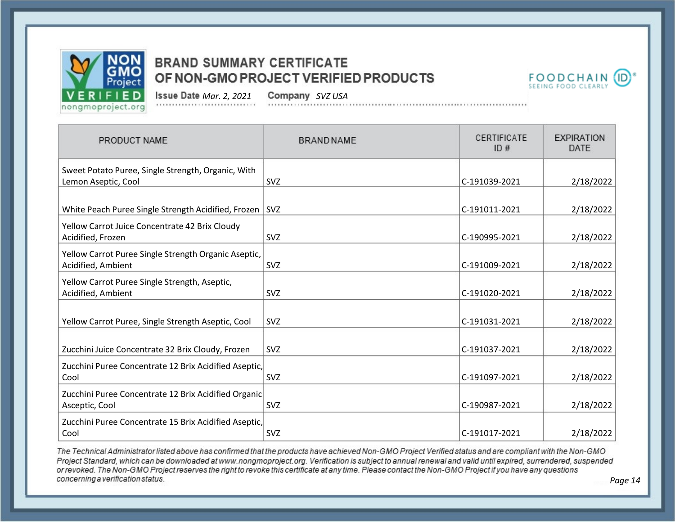



**Issue Date** *Mar. 2, 2021* **Company** *SVZ USA* 

| PRODUCT NAME                                                               | <b>BRAND NAME</b> | CERTIFICATE<br>ID# | <b>EXPIRATION</b><br><b>DATE</b> |
|----------------------------------------------------------------------------|-------------------|--------------------|----------------------------------|
| Sweet Potato Puree, Single Strength, Organic, With                         |                   |                    |                                  |
| Lemon Aseptic, Cool                                                        | <b>SVZ</b>        | C-191039-2021      | 2/18/2022                        |
|                                                                            |                   |                    |                                  |
| White Peach Puree Single Strength Acidified, Frozen                        | SVZ               | C-191011-2021      | 2/18/2022                        |
| Yellow Carrot Juice Concentrate 42 Brix Cloudy<br>Acidified, Frozen        | <b>SVZ</b>        | C-190995-2021      | 2/18/2022                        |
| Yellow Carrot Puree Single Strength Organic Aseptic,<br>Acidified, Ambient | SVZ               | C-191009-2021      | 2/18/2022                        |
| Yellow Carrot Puree Single Strength, Aseptic,<br>Acidified, Ambient        | <b>SVZ</b>        | C-191020-2021      | 2/18/2022                        |
| Yellow Carrot Puree, Single Strength Aseptic, Cool                         | <b>SVZ</b>        | C-191031-2021      | 2/18/2022                        |
| Zucchini Juice Concentrate 32 Brix Cloudy, Frozen                          | SVZ               | C-191037-2021      | 2/18/2022                        |
| Zucchini Puree Concentrate 12 Brix Acidified Aseptic,<br>Cool              | SVZ               | C-191097-2021      | 2/18/2022                        |
| Zucchini Puree Concentrate 12 Brix Acidified Organic<br>Asceptic, Cool     | <b>SVZ</b>        | C-190987-2021      | 2/18/2022                        |
| Zucchini Puree Concentrate 15 Brix Acidified Aseptic,<br>Cool              | <b>SVZ</b>        | C-191017-2021      | 2/18/2022                        |